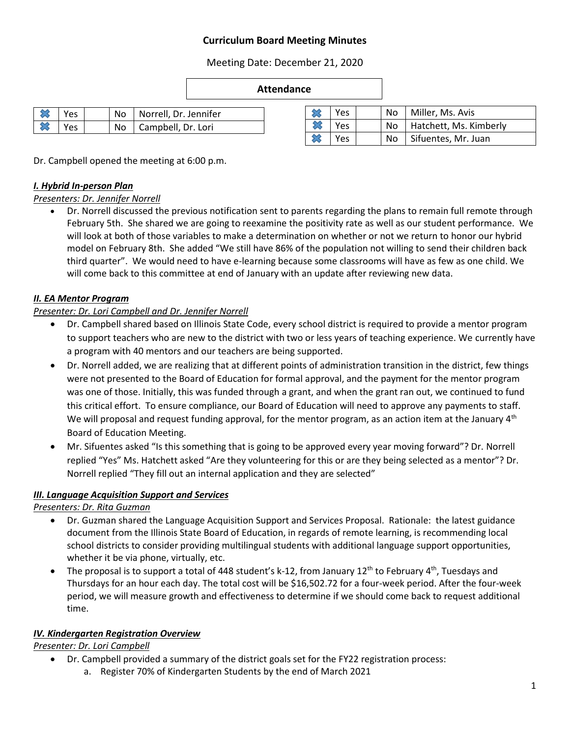# **Curriculum Board Meeting Minutes**

Meeting Date: December 21, 2020

#### **Attendance**

| 'es | No l | Norrell, Dr. Jennifer |  |
|-----|------|-----------------------|--|
| 'es | No.  | Campbell, Dr. Lori    |  |

| <b>Yes</b> |  | No   Miller, Ms. Avis     |
|------------|--|---------------------------|
| Yes        |  | No Hatchett, Ms. Kimberly |
| Yes.       |  | No   Sifuentes, Mr. Juan  |

Dr. Campbell opened the meeting at 6:00 p.m.

### *I. Hybrid In-person Plan*

#### *Presenters: Dr. Jennifer Norrell*

 Dr. Norrell discussed the previous notification sent to parents regarding the plans to remain full remote through February 5th. She shared we are going to reexamine the positivity rate as well as our student performance. We will look at both of those variables to make a determination on whether or not we return to honor our hybrid model on February 8th. She added "We still have 86% of the population not willing to send their children back third quarter". We would need to have e-learning because some classrooms will have as few as one child. We will come back to this committee at end of January with an update after reviewing new data.

#### *II. EA Mentor Program*

#### *Presenter: Dr. Lori Campbell and Dr. Jennifer Norrell*

- Dr. Campbell shared based on Illinois State Code, every school district is required to provide a mentor program to support teachers who are new to the district with two or less years of teaching experience. We currently have a program with 40 mentors and our teachers are being supported.
- Dr. Norrell added, we are realizing that at different points of administration transition in the district, few things were not presented to the Board of Education for formal approval, and the payment for the mentor program was one of those. Initially, this was funded through a grant, and when the grant ran out, we continued to fund this critical effort. To ensure compliance, our Board of Education will need to approve any payments to staff. We will proposal and request funding approval, for the mentor program, as an action item at the January  $4<sup>th</sup>$ Board of Education Meeting.
- Mr. Sifuentes asked "Is this something that is going to be approved every year moving forward"? Dr. Norrell replied "Yes" Ms. Hatchett asked "Are they volunteering for this or are they being selected as a mentor"? Dr. Norrell replied "They fill out an internal application and they are selected"

### *III. Language Acquisition Support and Services*

*Presenters: Dr. Rita Guzman* 

- Dr. Guzman shared the Language Acquisition Support and Services Proposal. Rationale: the latest guidance document from the Illinois State Board of Education, in regards of remote learning, is recommending local school districts to consider providing multilingual students with additional language support opportunities, whether it be via phone, virtually, etc.
- The proposal is to support a total of 448 student's k-12, from January 12<sup>th</sup> to February 4<sup>th</sup>, Tuesdays and Thursdays for an hour each day. The total cost will be \$16,502.72 for a four-week period. After the four-week period, we will measure growth and effectiveness to determine if we should come back to request additional time.

### *IV. Kindergarten Registration Overview*

*Presenter: Dr. Lori Campbell*

- Dr. Campbell provided a summary of the district goals set for the FY22 registration process:
	- a. Register 70% of Kindergarten Students by the end of March 2021